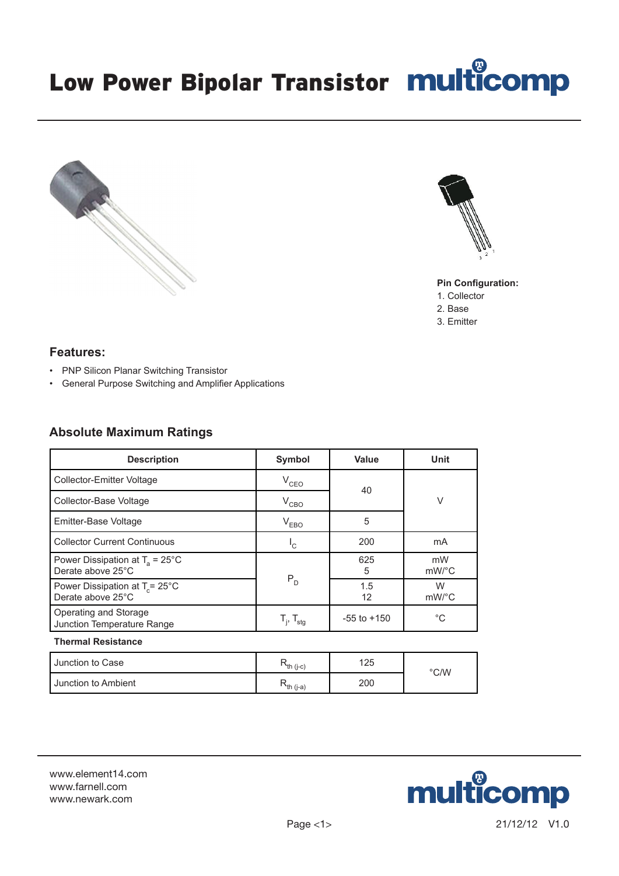multicomp



# Low Power Bipolar Transistor multicomp





### **Pin Configuration:**

- 1. Collector
- 2. Base
- 3. Emitter

# **Features:**

- PNP Silicon Planar Switching Transistor
- General Purpose Switching and Amplifier Applications

# **Absolute Maximum Ratings**

| <b>Description</b>                                             | Symbol                                                | Value           | <b>Unit</b>                 |  |
|----------------------------------------------------------------|-------------------------------------------------------|-----------------|-----------------------------|--|
| Collector-Emitter Voltage                                      | $V_{CEO}$                                             | 40              | V                           |  |
| Collector-Base Voltage                                         | $V_{CBO}$                                             |                 |                             |  |
| Emitter-Base Voltage                                           | $V_{EBO}$                                             | 5               |                             |  |
| <b>Collector Current Continuous</b>                            | $\mathsf{I}_\mathsf{C}$                               | 200             | mA                          |  |
| Power Dissipation at $T_a = 25^{\circ}$ C<br>Derate above 25°C |                                                       | 625<br>5        | mW<br>$mW$ <sup>o</sup> $C$ |  |
| Power Dissipation at $T_c = 25^{\circ}$ C<br>Derate above 25°C | $P_{D}$                                               | 1.5<br>12       | W<br>$mW$ /°C               |  |
| Operating and Storage<br>Junction Temperature Range            | $\mathsf{T}_{\mathsf{i}},\,\mathsf{T}_{\mathsf{stg}}$ | $-55$ to $+150$ | $^{\circ}C$                 |  |
| <b>Thermal Resistance</b>                                      |                                                       |                 |                             |  |

| Junction to Case    | $\lambda$ th (j-c) | 125 |               |
|---------------------|--------------------|-----|---------------|
| Junction to Ambient | $\lambda$ th (j-a) | 200 | $\degree$ C/W |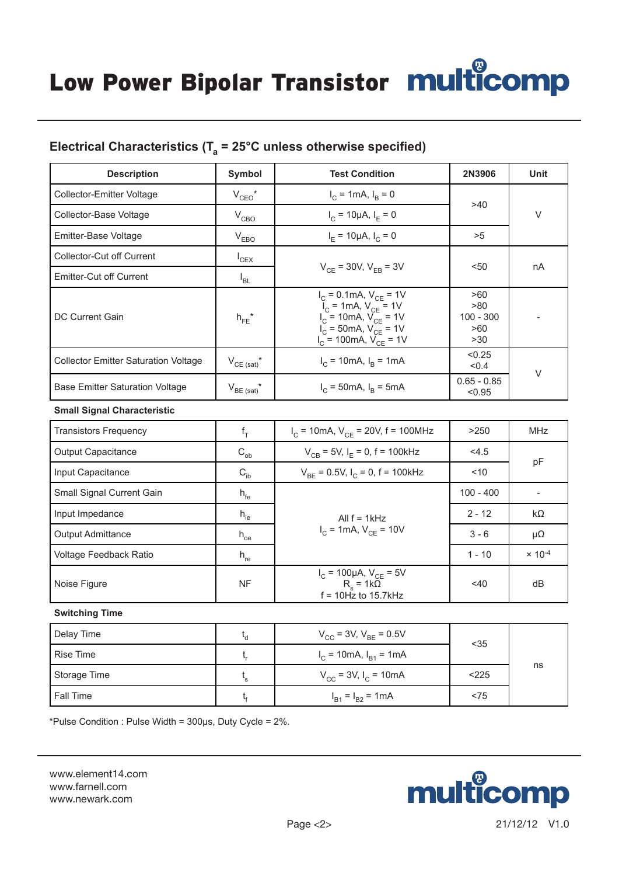Low Power Bipolar Transistor multicomp

# Electrical Characteristics ( $T_a = 25^{\circ}$ C unless otherwise specified)

| <b>Description</b>                          | Symbol                 | <b>Test Condition</b>                                                                                                                                                               | 2N3906                                  | Unit |
|---------------------------------------------|------------------------|-------------------------------------------------------------------------------------------------------------------------------------------------------------------------------------|-----------------------------------------|------|
| Collector-Emitter Voltage                   | $V_{CEO}$ <sup>*</sup> | $I_C = 1 \text{mA}, I_R = 0$                                                                                                                                                        | >40                                     | V    |
| Collector-Base Voltage                      | $V_{CBO}$              | $I_C = 10 \mu A$ , $I_F = 0$                                                                                                                                                        |                                         |      |
| Emitter-Base Voltage                        | $V_{EBO}$              | $I_F = 10 \mu A$ , $I_C = 0$                                                                                                                                                        | >5                                      |      |
| Collector-Cut off Current                   | $I_{CEX}$              |                                                                                                                                                                                     |                                         | nA   |
| Emitter-Cut off Current                     | <sup>I</sup> BL        | $V_{CF}$ = 30V, $V_{EB}$ = 3V                                                                                                                                                       | $50$                                    |      |
| <b>DC Current Gain</b>                      | $h_{FE}$ *             | $I_C = 0.1$ mA, $V_{CE} = 1V$<br>$\tilde{I}_C$ = 1mA, $V_{CE}$ = 1V<br>$V_{C}$ = 10mA, $V_{CF}$ = 1V<br>$V_C = 50 \text{mA}, V_{CF} = 1 \text{V}$<br>$V_{C}$ = 100mA, $V_{CF}$ = 1V | >60<br>>80<br>$100 - 300$<br>>60<br>>30 |      |
| <b>Collector Emitter Saturation Voltage</b> | $V_{CE (sat)}$ *       | < 0.25<br>$I_C = 10 \text{mA}, I_R = 1 \text{mA}$<br>< 0.4                                                                                                                          |                                         | V    |
| <b>Base Emitter Saturation Voltage</b>      | $V_{BE (sat)}$ *       | $I_C = 50 \text{mA}, I_R = 5 \text{mA}$                                                                                                                                             | $0.65 - 0.85$<br>< 0.95                 |      |
| <b>Small Signal Characteristic</b>          |                        |                                                                                                                                                                                     |                                         |      |

| <b>Transistors Frequency</b> | $f_T$           | $I_C$ = 10mA, $V_{CE}$ = 20V, f = 100MHz                                              | >250        | <b>MHz</b>       |
|------------------------------|-----------------|---------------------------------------------------------------------------------------|-------------|------------------|
| <b>Output Capacitance</b>    | $C_{ob}$        | $V_{CB}$ = 5V, I <sub>F</sub> = 0, f = 100kHz                                         | < 4.5       |                  |
| Input Capacitance            | $C_{ib}$        | $V_{BE}$ = 0.5V, $I_C$ = 0, f = 100kHz                                                | ~10         | pF               |
| Small Signal Current Gain    | $h_{\text{fe}}$ | All $f = 1kHz$                                                                        | $100 - 400$ |                  |
| Input Impedance              | $h_{ie}$        |                                                                                       | $2 - 12$    | $k\Omega$        |
| <b>Output Admittance</b>     | $h_{oe}$        | $I_C$ = 1mA, $V_{CE}$ = 10V                                                           | $3 - 6$     | $\mu\Omega$      |
| Voltage Feedback Ratio       | $h_{re}$        |                                                                                       | $1 - 10$    | $\times 10^{-4}$ |
| Noise Figure                 | NF              | $I_C$ = 100μA, V <sub>CE</sub> = 5V<br>R <sub>s</sub> = 1kΩ<br>$f = 10$ Hz to 15.7kHz | $<$ 40      | dB               |

#### **Switching Time**

| Delay Time   | ٠d | $V_{CC}$ = 3V, $V_{BE}$ = 0.5V              | $35$  |    |
|--------------|----|---------------------------------------------|-------|----|
| Rise Time    |    | $I_C$ = 10mA, $I_{B1}$ = 1mA                |       |    |
| Storage Time | ۰s | $V_{\text{CC}}$ = 3V, I <sub>C</sub> = 10mA | < 225 | ns |
| Fall Time    |    | $I_{B1} = I_{B2} = 1 \text{mA}$             | < 75  |    |

\*Pulse Condition : Pulse Width = 300μs, Duty Cycle = 2%.

www.element14.com www.farnell.com www.newark.com